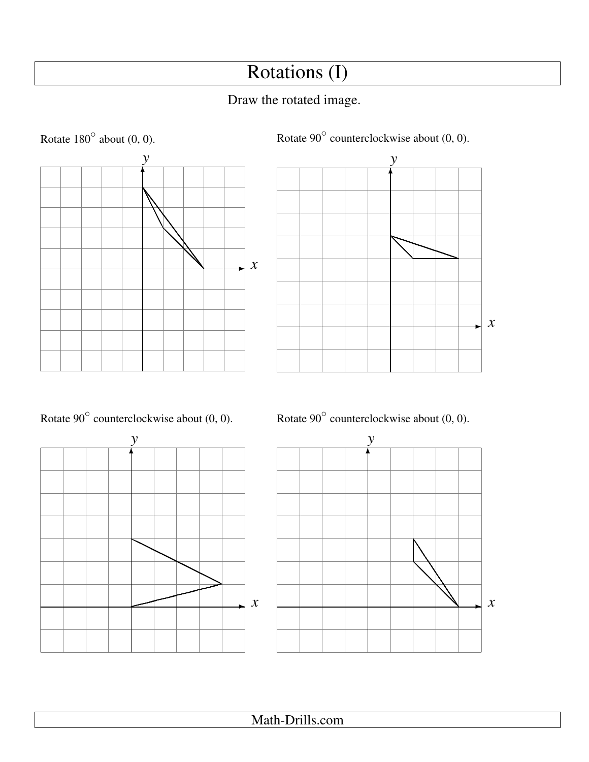## Rotations (I)

## Draw the rotated image.



✲ *x* ✻ *y* ❅❅❅ ❅❅❅  $\diagup$  $\overline{}$ 

Rotate  $90^\circ$  counterclockwise about  $(0, 0)$ .







Rotate  $90^{\circ}$  counterclockwise about  $(0, 0)$ .